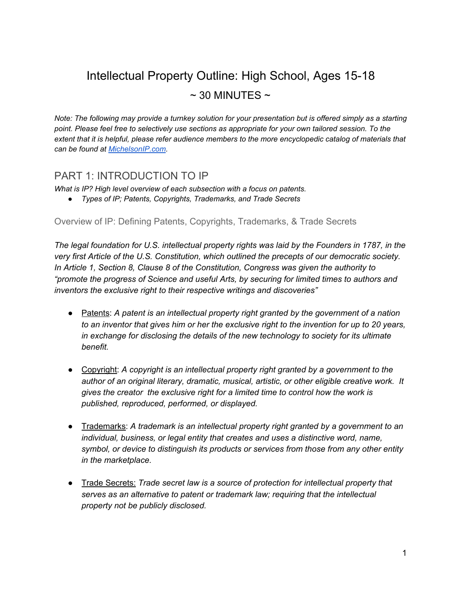# Intellectual Property Outline: High School, Ages 15-18  $\sim$  30 MINUTES  $\sim$

*Note: The following may provide a turnkey solution for your presentation but is offered simply as a starting point. Please feel free to selectively use sections as appropriate for your own tailored session. To the extent that it is helpful, please refer audience members to the more encyclopedic catalog of materials that can be found at [MichelsonIP.com.](http://michelsonip.com/intangible-advantage/)*

# PART 1: INTRODUCTION TO IP

*What is IP? High level overview of each subsection with a focus on patents.*

*● Types of IP; Patents, Copyrights, Trademarks, and Trade Secrets*

Overview of IP: Defining Patents, Copyrights, Trademarks, & Trade Secrets

*The legal foundation for U.S. intellectual property rights was laid by the Founders in 1787, in the very first Article of the U.S. Constitution, which outlined the precepts of our democratic society. In Article 1, Section 8, Clause 8 of the Constitution, Congress was given the authority to "promote the progress of Science and useful Arts, by securing for limited times to authors and inventors the exclusive right to their respective writings and discoveries"*

- Patents: *A patent is an intellectual property right granted by the government of a nation to an inventor that gives him or her the exclusive right to the invention for up to 20 years, in exchange for disclosing the details of the new technology to society for its ultimate benefit.*
- Copyright: *A copyright is an intellectual property right granted by a government to the author of an original literary, dramatic, musical, artistic, or other eligible creative work. It gives the creator the exclusive right for a limited time to control how the work is published, reproduced, performed, or displayed.*
- Trademarks: *A trademark is an intellectual property right granted by a government to an individual, business, or legal entity that creates and uses a distinctive word, name, symbol, or device to distinguish its products or services from those from any other entity in the marketplace.*
- Trade Secrets: *Trade secret law is a source of protection for intellectual property that serves as an alternative to patent or trademark law; requiring that the intellectual property not be publicly disclosed.*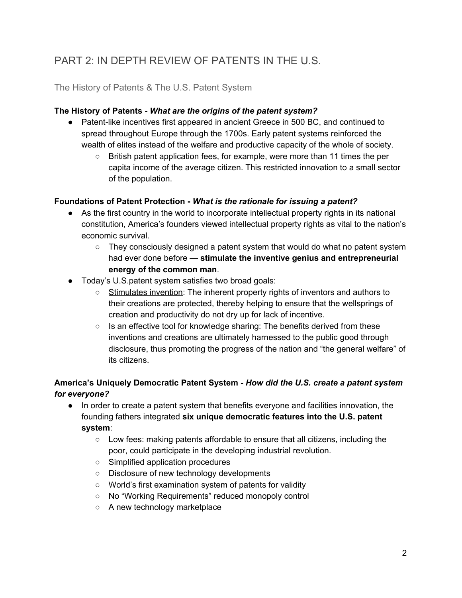# PART 2: IN DEPTH REVIEW OF PATENTS IN THE U.S.

# The History of Patents & The U.S. Patent System

#### **The History of Patents -** *What are the origins of the patent system?*

- Patent-like incentives first appeared in ancient Greece in 500 BC, and continued to spread throughout Europe through the 1700s. Early patent systems reinforced the wealth of elites instead of the welfare and productive capacity of the whole of society.
	- British patent application fees, for example, were more than 11 times the per capita income of the average citizen. This restricted innovation to a small sector of the population.

#### **Foundations of Patent Protection -** *W hat is the rationale for issuing a patent?*

- **●** As the first country in the world to incorporate intellectual property rights in its national constitution, America's founders viewed intellectual property rights as vital to the nation's economic survival.
	- **○** They consciously designed a patent system that would do what no patent system had ever done before — **stimulate the inventive genius and entrepreneurial energy of the common man**.
- Today's U.S.patent system satisfies two broad goals:
	- Stimulates invention: The inherent property rights of inventors and authors to their creations are protected, thereby helping to ensure that the wellsprings of creation and productivity do not dry up for lack of incentive.
	- $\circ$  Is an effective tool for knowledge sharing: The benefits derived from these inventions and creations are ultimately harnessed to the public good through disclosure, thus promoting the progress of the nation and "the general welfare" of its citizens.

#### **America's Uniquely Democratic Patent System -** *H ow did the U.S. create a patent system for everyone?*

- In order to create a patent system that benefits everyone and facilities innovation, the founding fathers integrated **six unique democratic features into the U.S. patent system**:
	- Low fees: making patents affordable to ensure that all citizens, including the poor, could participate in the developing industrial revolution.
	- Simplified application procedures
	- Disclosure of new technology developments
	- World's first examination system of patents for validity
	- No "Working Requirements" reduced monopoly control
	- A new technology marketplace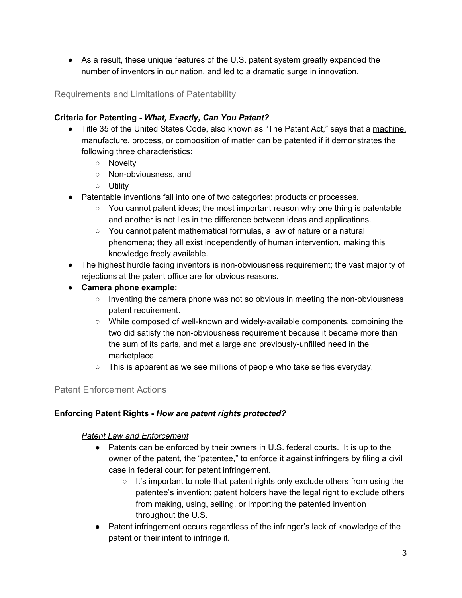● As a result, these unique features of the U.S. patent system greatly expanded the number of inventors in our nation, and led to a dramatic surge in innovation.

Requirements and Limitations of Patentability

### **Criteria for Patenting -** *What, Exactly, Can You Patent?*

- Title 35 of the United States Code, also known as "The Patent Act," says that a machine, manufacture, process, or composition of matter can be patented if it demonstrates the following three characteristics:
	- Novelty
	- Non-obviousness, and
	- Utility
- Patentable inventions fall into one of two categories: products or processes.
	- You cannot patent ideas; the most important reason why one thing is patentable and another is not lies in the difference between ideas and applications.
	- You cannot patent mathematical formulas, a law of nature or a natural phenomena; they all exist independently of human intervention, making this knowledge freely available.
- The highest hurdle facing inventors is non-obviousness requirement; the vast majority of rejections at the patent office are for obvious reasons.
- **● Camera phone example:**
	- Inventing the camera phone was not so obvious in meeting the non-obviousness patent requirement.
	- While composed of well-known and widely-available components, combining the two did satisfy the non-obviousness requirement because it became more than the sum of its parts, and met a large and previously-unfilled need in the marketplace.
	- $\circ$  This is apparent as we see millions of people who take selfies everyday.

# Patent Enforcement Actions

#### **Enforcing Patent Rights -** *How are patent rights protected?*

#### *Patent Law and Enforcement*

- Patents can be enforced by their owners in U.S. federal courts. It is up to the owner of the patent, the "patentee," to enforce it against infringers by filing a civil case in federal court for patent infringement.
	- It's important to note that patent rights only exclude others from using the patentee's invention; patent holders have the legal right to exclude others from making, using, selling, or importing the patented invention throughout the U.S.
- Patent infringement occurs regardless of the infringer's lack of knowledge of the patent or their intent to infringe it.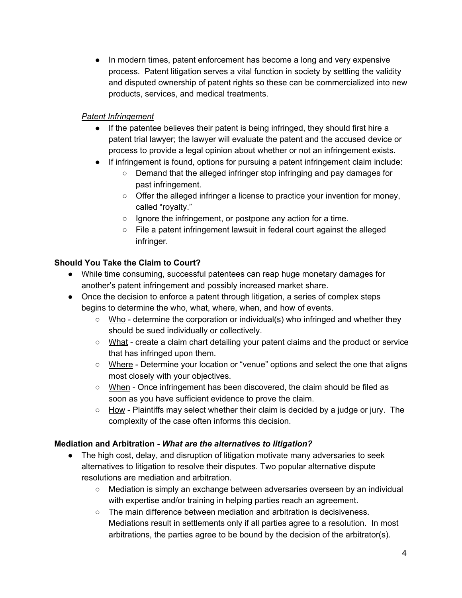● In modern times, patent enforcement has become a long and very expensive process. Patent litigation serves a vital function in society by settling the validity and disputed ownership of patent rights so these can be commercialized into new products, services, and medical treatments.

#### *Patent Infringement*

- If the patentee believes their patent is being infringed, they should first hire a patent trial lawyer; the lawyer will evaluate the patent and the accused device or process to provide a legal opinion about whether or not an infringement exists.
- If infringement is found, options for pursuing a patent infringement claim include:
	- Demand that the alleged infringer stop infringing and pay damages for past infringement.
	- Offer the alleged infringer a license to practice your invention for money, called "royalty."
	- Ignore the infringement, or postpone any action for a time.
	- File a patent infringement lawsuit in federal court against the alleged infringer.

#### **Should You Take the Claim to Court?**

- **●** While time consuming, successful patentees can reap huge monetary damages for another's patent infringement and possibly increased market share.
- **●** Once the decision to enforce a patent through litigation, a series of complex steps begins to determine the who, what, where, when, and how of events.
	- **○** Who determine the corporation or individual(s) who infringed and whether they should be sued individually or collectively.
	- **○** What create a claim chart detailing your patent claims and the product or service that has infringed upon them.
	- Where Determine your location or "venue" options and select the one that aligns most closely with your objectives.
	- **○** When Once infringement has been discovered, the claim should be filed as soon as you have sufficient evidence to prove the claim.
	- **○** How Plaintiffs may select whether their claim is decided by a judge or jury. The complexity of the case often informs this decision.

#### **Mediation and Arbitration** *- What are the alternatives to litigation?*

- The high cost, delay, and disruption of litigation motivate many adversaries to seek alternatives to litigation to resolve their disputes. Two popular alternative dispute resolutions are mediation and arbitration.
	- Mediation is simply an exchange between adversaries overseen by an individual with expertise and/or training in helping parties reach an agreement.
	- The main difference between mediation and arbitration is decisiveness. Mediations result in settlements only if all parties agree to a resolution. In most arbitrations, the parties agree to be bound by the decision of the arbitrator(s).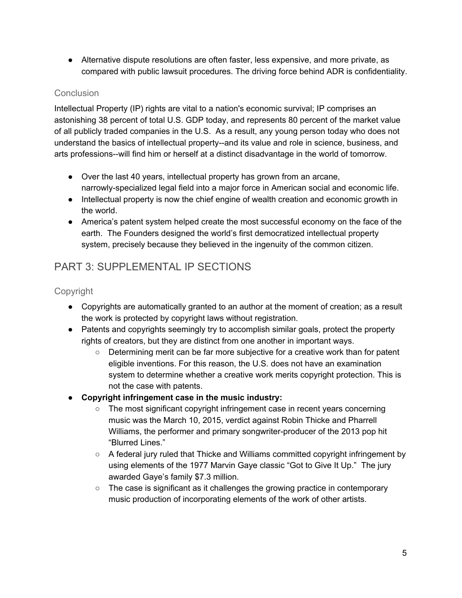● Alternative dispute resolutions are often faster, less expensive, and more private, as compared with public lawsuit procedures. The driving force behind ADR is confidentiality.

### **Conclusion**

Intellectual Property (IP) rights are vital to a nation's economic survival; IP comprises an astonishing 38 percent of total U.S. GDP today, and represents 80 percent of the market value of all publicly traded companies in the U.S. As a result, any young person today who does not understand the basics of intellectual property--and its value and role in science, business, and arts professions--will find him or herself at a distinct disadvantage in the world of tomorrow.

- Over the last 40 years, intellectual property has grown from an arcane, narrowly-specialized legal field into a major force in American social and economic life.
- Intellectual property is now the chief engine of wealth creation and economic growth in the world.
- America's patent system helped create the most successful economy on the face of the earth. The Founders designed the world's first democratized intellectual property system, precisely because they believed in the ingenuity of the common citizen.

# PART 3: SUPPLEMENTAL IP SECTIONS

# Copyright

- Copyrights are automatically granted to an author at the moment of creation; as a result the work is protected by copyright laws without registration.
- Patents and copyrights seemingly try to accomplish similar goals, protect the property rights of creators, but they are distinct from one another in important ways.
	- Determining merit can be far more subjective for a creative work than for patent eligible inventions. For this reason, the U.S. does not have an examination system to determine whether a creative work merits copyright protection. This is not the case with patents.
- **● Copyright infringement case in the music industry:**
	- The most significant copyright infringement case in recent years concerning music was the March 10, 2015, verdict against Robin Thicke and Pharrell Williams, the performer and primary songwriter-producer of the 2013 pop hit "Blurred Lines."
	- $\circ$  A federal jury ruled that Thicke and Williams committed copyright infringement by using elements of the 1977 Marvin Gaye classic "Got to Give It Up." The jury awarded Gaye's family \$7.3 million.
	- $\circ$  The case is significant as it challenges the growing practice in contemporary music production of incorporating elements of the work of other artists.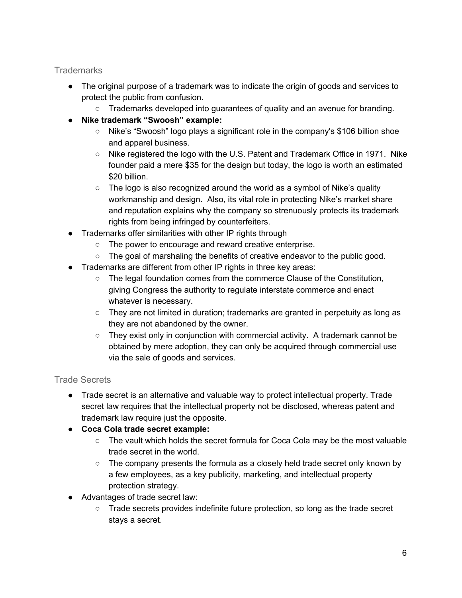# **Trademarks**

- The original purpose of a trademark was to indicate the origin of goods and services to protect the public from confusion.
	- Trademarks developed into guarantees of quality and an avenue for branding.
- **● Nike trademark "Swoosh" example:**
	- Nike's "Swoosh" logo plays a significant role in the company's \$106 billion shoe and apparel business.
	- Nike registered the logo with the U.S. Patent and Trademark Office in 1971. Nike founder paid a mere \$35 for the design but today, the logo is worth an estimated \$20 billion.
	- $\circ$  The logo is also recognized around the world as a symbol of Nike's quality workmanship and design. Also, its vital role in protecting Nike's market share and reputation explains why the company so strenuously protects its trademark rights from being infringed by counterfeiters.
- Trademarks offer similarities with other IP rights through
	- The power to encourage and reward creative enterprise.
	- $\circ$  The goal of marshaling the benefits of creative endeavor to the public good.
- Trademarks are different from other IP rights in three key areas:
	- The legal foundation comes from the commerce Clause of the Constitution, giving Congress the authority to regulate interstate commerce and enact whatever is necessary.
	- $\circ$  They are not limited in duration; trademarks are granted in perpetuity as long as they are not abandoned by the owner.
	- They exist only in conjunction with commercial activity. A trademark cannot be obtained by mere adoption, they can only be acquired through commercial use via the sale of goods and services.

# Trade Secrets

- Trade secret is an alternative and valuable way to protect intellectual property. Trade secret law requires that the intellectual property not be disclosed, whereas patent and trademark law require just the opposite.
- **Coca Cola trade secret example:**
	- $\circ$  The vault which holds the secret formula for Coca Cola may be the most valuable trade secret in the world.
	- $\circ$  The company presents the formula as a closely held trade secret only known by a few employees, as a key publicity, marketing, and intellectual property protection strategy.
- Advantages of trade secret law:
	- Trade secrets provides indefinite future protection, so long as the trade secret stays a secret.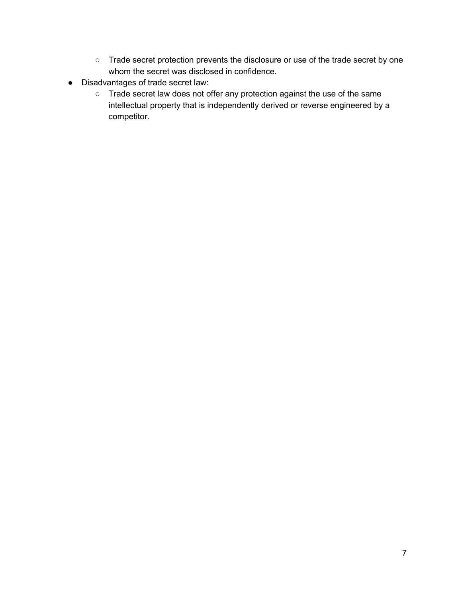- Trade secret protection prevents the disclosure or use of the trade secret by one whom the secret was disclosed in confidence.
- Disadvantages of trade secret law:
	- Trade secret law does not offer any protection against the use of the same intellectual property that is independently derived or reverse engineered by a competitor.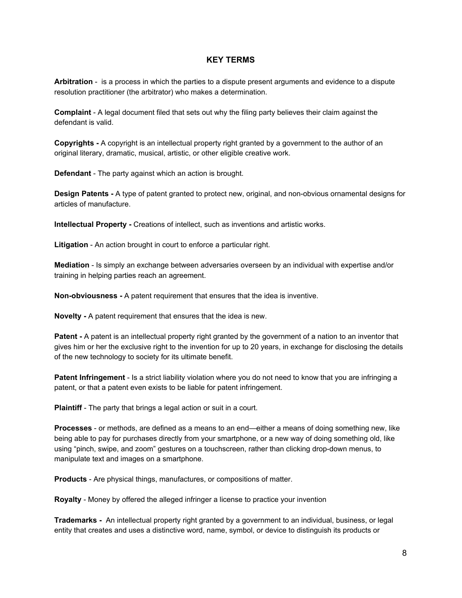#### **KEY TERMS**

**Arbitration** - is a process in which the parties to a dispute present arguments and evidence to a dispute resolution practitioner (the arbitrator) who makes a determination.

**Complaint** - A legal document filed that sets out why the filing party believes their claim against the defendant is valid.

**Copyrights -** A copyright is an intellectual property right granted by a government to the author of an original literary, dramatic, musical, artistic, or other eligible creative work.

**Defendant** - The party against which an action is brought.

**Design Patents -** A type of patent granted to protect new, original, and non-obvious ornamental designs for articles of manufacture.

**Intellectual Property -** Creations of intellect, such as inventions and artistic works.

**Litigation** - An action brought in court to enforce a particular right.

**Mediation** - Is simply an exchange between adversaries overseen by an individual with expertise and/or training in helping parties reach an agreement.

**Non-obviousness -** A patent requirement that ensures that the idea is inventive.

**Novelty -** A patent requirement that ensures that the idea is new.

**Patent -** A patent is an intellectual property right granted by the government of a nation to an inventor that gives him or her the exclusive right to the invention for up to 20 years, in exchange for disclosing the details of the new technology to society for its ultimate benefit.

**Patent Infringement** - Is a strict liability violation where you do not need to know that you are infringing a patent, or that a patent even exists to be liable for patent infringement.

**Plaintiff** - The party that brings a legal action or suit in a court.

**Processes** - or methods, are defined as a means to an end—either a means of doing something new, like being able to pay for purchases directly from your smartphone, or a new way of doing something old, like using "pinch, swipe, and zoom" gestures on a touchscreen, rather than clicking drop-down menus, to manipulate text and images on a smartphone.

**Products** - Are physical things, manufactures, or compositions of matter.

**Royalty** - Money by offered the alleged infringer a license to practice your invention

**Trademarks -** An intellectual property right granted by a government to an individual, business, or legal entity that creates and uses a distinctive word, name, symbol, or device to distinguish its products or